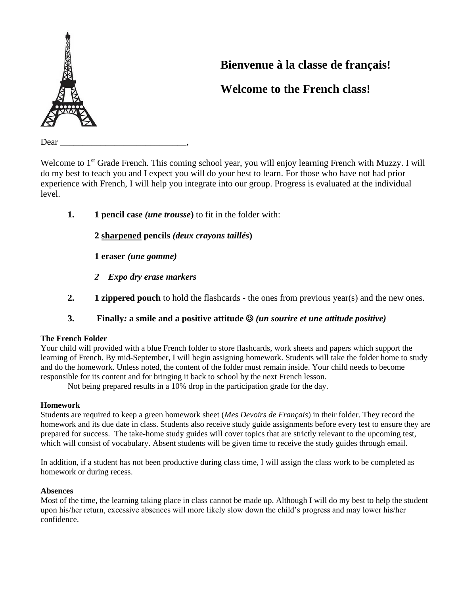

# **Bienvenue à la classe de français!**

## **Welcome to the French class!**

Dear

Welcome to 1<sup>st</sup> Grade French. This coming school year, you will enjoy learning French with Muzzy. I will do my best to teach you and I expect you will do your best to learn. For those who have not had prior experience with French, I will help you integrate into our group. Progress is evaluated at the individual level.

**1. 1 pencil case** *(une trousse***)** to fit in the folder with:

**2 sharpened pencils** *(deux crayons taillés***)**

**1 eraser** *(une gomme)*

- *2 Expo dry erase markers*
- **2.** 1 **zippered pouch** to hold the flashcards the ones from previous year(s) and the new ones.
- **3.****Finally***:* **a smile and a positive attitude** ☺ *(un sourire et une attitude positive)*

### **The French Folder**

Your child will provided with a blue French folder to store flashcards, work sheets and papers which support the learning of French. By mid-September, I will begin assigning homework. Students will take the folder home to study and do the homework. Unless noted, the content of the folder must remain inside. Your child needs to become responsible for its content and for bringing it back to school by the next French lesson.

Not being prepared results in a 10% drop in the participation grade for the day.

#### **Homework**

Students are required to keep a green homework sheet (*Mes Devoirs de Français*) in their folder. They record the homework and its due date in class. Students also receive study guide assignments before every test to ensure they are prepared for success. The take-home study guides will cover topics that are strictly relevant to the upcoming test, which will consist of vocabulary. Absent students will be given time to receive the study guides through email.

In addition, if a student has not been productive during class time, I will assign the class work to be completed as homework or during recess.

#### **Absences**

Most of the time, the learning taking place in class cannot be made up. Although I will do my best to help the student upon his/her return, excessive absences will more likely slow down the child's progress and may lower his/her confidence.